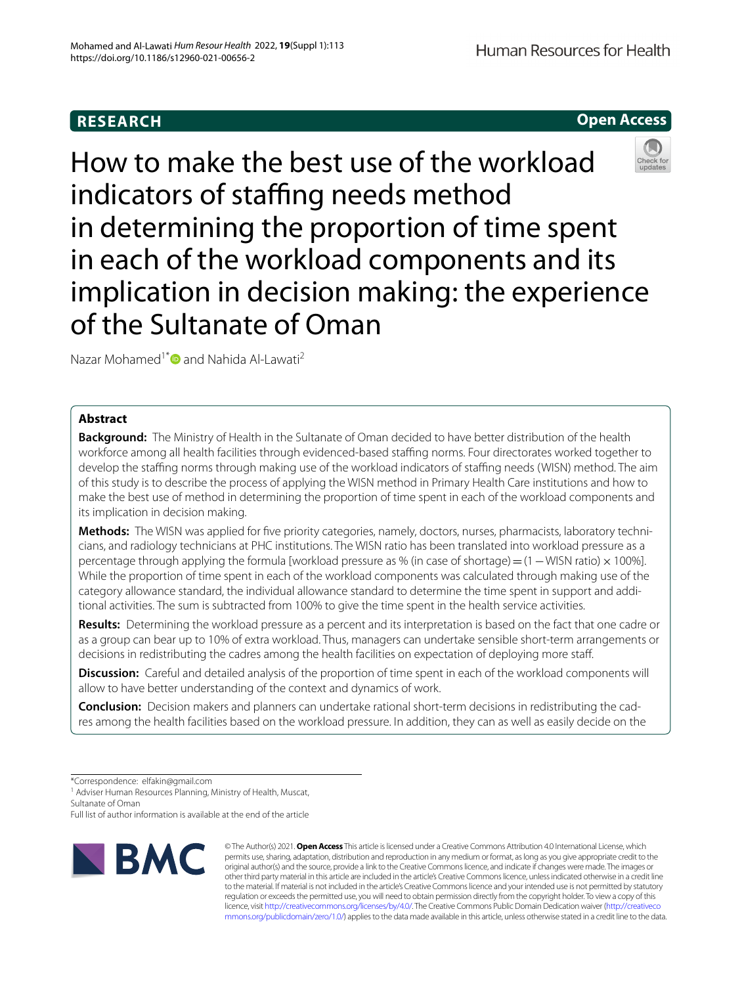## **RESEARCH**

**Open Access**

# How to make the best use of the workload indicators of staffing needs method in determining the proportion of time spent in each of the workload components and its implication in decision making: the experience of the Sultanate of Oman

Nazar Mohamed<sup>1[\\*](http://orcid.org/0000-0002-4100-4193)</sup> and Nahida Al-Lawati<sup>2</sup>

## **Abstract**

**Background:** The Ministry of Health in the Sultanate of Oman decided to have better distribution of the health workforce among all health facilities through evidenced-based staffing norms. Four directorates worked together to develop the staffing norms through making use of the workload indicators of staffing needs (WISN) method. The aim of this study is to describe the process of applying the WISN method in Primary Health Care institutions and how to make the best use of method in determining the proportion of time spent in each of the workload components and its implication in decision making.

Methods: The WISN was applied for five priority categories, namely, doctors, nurses, pharmacists, laboratory technicians, and radiology technicians at PHC institutions. The WISN ratio has been translated into workload pressure as a percentage through applying the formula [workload pressure as % (in case of shortage) = (1 – WISN ratio) × 100%]. While the proportion of time spent in each of the workload components was calculated through making use of the category allowance standard, the individual allowance standard to determine the time spent in support and additional activities. The sum is subtracted from 100% to give the time spent in the health service activities.

**Results:** Determining the workload pressure as a percent and its interpretation is based on the fact that one cadre or as a group can bear up to 10% of extra workload. Thus, managers can undertake sensible short-term arrangements or decisions in redistributing the cadres among the health facilities on expectation of deploying more staf.

**Discussion:** Careful and detailed analysis of the proportion of time spent in each of the workload components will allow to have better understanding of the context and dynamics of work.

**Conclusion:** Decision makers and planners can undertake rational short-term decisions in redistributing the cad‑ res among the health facilities based on the workload pressure. In addition, they can as well as easily decide on the

\*Correspondence: elfakin@gmail.com

<sup>1</sup> Adviser Human Resources Planning, Ministry of Health, Muscat, Sultanate of Oman

Full list of author information is available at the end of the article



© The Author(s) 2021. **Open Access** This article is licensed under a Creative Commons Attribution 4.0 International License, which permits use, sharing, adaptation, distribution and reproduction in any medium or format, as long as you give appropriate credit to the original author(s) and the source, provide a link to the Creative Commons licence, and indicate if changes were made. The images or other third party material in this article are included in the article's Creative Commons licence, unless indicated otherwise in a credit line to the material. If material is not included in the article's Creative Commons licence and your intended use is not permitted by statutory regulation or exceeds the permitted use, you will need to obtain permission directly from the copyright holder. To view a copy of this licence, visit [http://creativecommons.org/licenses/by/4.0/.](http://creativecommons.org/licenses/by/4.0/) The Creative Commons Public Domain Dedication waiver ([http://creativeco](http://creativecommons.org/publicdomain/zero/1.0/) [mmons.org/publicdomain/zero/1.0/](http://creativecommons.org/publicdomain/zero/1.0/)) applies to the data made available in this article, unless otherwise stated in a credit line to the data.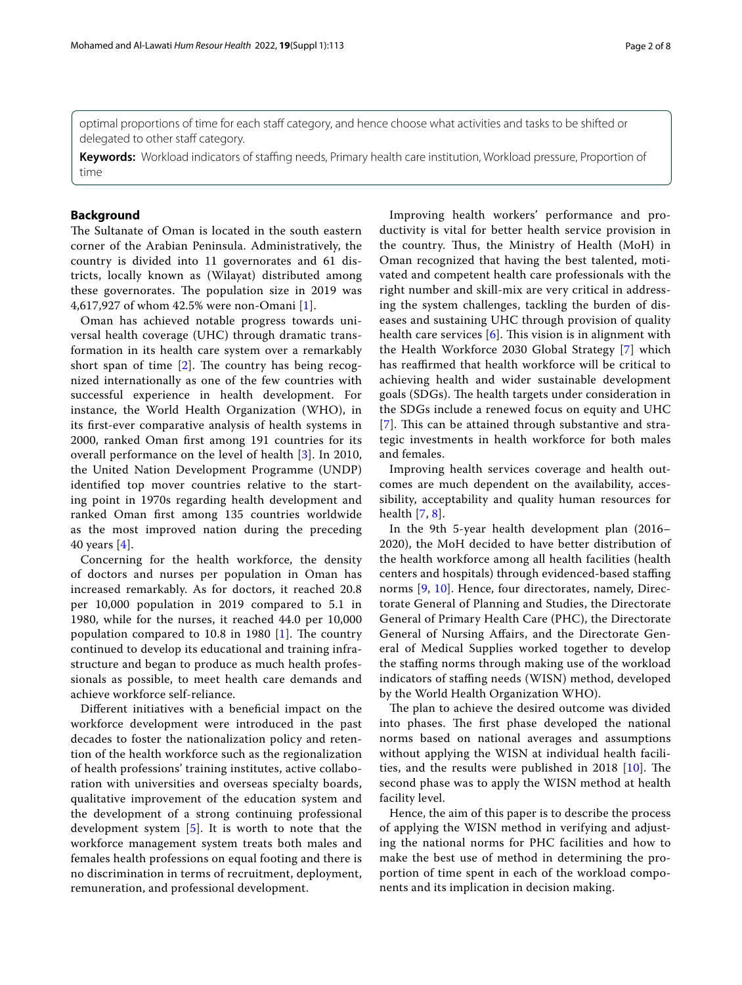optimal proportions of time for each staf category, and hence choose what activities and tasks to be shifted or delegated to other staff category.

**Keywords:** Workload indicators of staffing needs, Primary health care institution, Workload pressure, Proportion of time

## **Background**

The Sultanate of Oman is located in the south eastern corner of the Arabian Peninsula. Administratively, the country is divided into 11 governorates and 61 districts, locally known as (Wilayat) distributed among these governorates. The population size in 2019 was 4,617,927 of whom 42.5% were non-Omani [\[1](#page-7-0)].

Oman has achieved notable progress towards universal health coverage (UHC) through dramatic transformation in its health care system over a remarkably short span of time  $[2]$  $[2]$  $[2]$ . The country has being recognized internationally as one of the few countries with successful experience in health development. For instance, the World Health Organization (WHO), in its frst-ever comparative analysis of health systems in 2000, ranked Oman frst among 191 countries for its overall performance on the level of health [\[3](#page-7-2)]. In 2010, the United Nation Development Programme (UNDP) identifed top mover countries relative to the starting point in 1970s regarding health development and ranked Oman frst among 135 countries worldwide as the most improved nation during the preceding 40 years [[4\]](#page-7-3).

Concerning for the health workforce, the density of doctors and nurses per population in Oman has increased remarkably. As for doctors, it reached 20.8 per 10,000 population in 2019 compared to 5.1 in 1980, while for the nurses, it reached 44.0 per 10,000 population compared to  $10.8$  in  $1980$  [\[1](#page-7-0)]. The country continued to develop its educational and training infrastructure and began to produce as much health professionals as possible, to meet health care demands and achieve workforce self-reliance.

Diferent initiatives with a benefcial impact on the workforce development were introduced in the past decades to foster the nationalization policy and retention of the health workforce such as the regionalization of health professions' training institutes, active collaboration with universities and overseas specialty boards, qualitative improvement of the education system and the development of a strong continuing professional development system [[5\]](#page-7-4). It is worth to note that the workforce management system treats both males and females health professions on equal footing and there is no discrimination in terms of recruitment, deployment, remuneration, and professional development.

Improving health workers' performance and productivity is vital for better health service provision in the country. Thus, the Ministry of Health (MoH) in Oman recognized that having the best talented, motivated and competent health care professionals with the right number and skill-mix are very critical in addressing the system challenges, tackling the burden of diseases and sustaining UHC through provision of quality health care services  $[6]$  $[6]$ . This vision is in alignment with the Health Workforce 2030 Global Strategy [[7](#page-7-6)] which has reaffirmed that health workforce will be critical to achieving health and wider sustainable development goals (SDGs). The health targets under consideration in the SDGs include a renewed focus on equity and UHC [[7](#page-7-6)]. This can be attained through substantive and strategic investments in health workforce for both males and females.

Improving health services coverage and health outcomes are much dependent on the availability, accessibility, acceptability and quality human resources for health [[7,](#page-7-6) [8\]](#page-7-7).

In the 9th 5-year health development plan (2016– 2020), the MoH decided to have better distribution of the health workforce among all health facilities (health centers and hospitals) through evidenced-based stafng norms [\[9](#page-7-8), [10\]](#page-7-9). Hence, four directorates, namely, Directorate General of Planning and Studies, the Directorate General of Primary Health Care (PHC), the Directorate General of Nursing Afairs, and the Directorate General of Medical Supplies worked together to develop the staffing norms through making use of the workload indicators of staffing needs (WISN) method, developed by the World Health Organization WHO).

The plan to achieve the desired outcome was divided into phases. The first phase developed the national norms based on national averages and assumptions without applying the WISN at individual health facilities, and the results were published in 2018  $[10]$  $[10]$ . The second phase was to apply the WISN method at health facility level.

Hence, the aim of this paper is to describe the process of applying the WISN method in verifying and adjusting the national norms for PHC facilities and how to make the best use of method in determining the proportion of time spent in each of the workload components and its implication in decision making.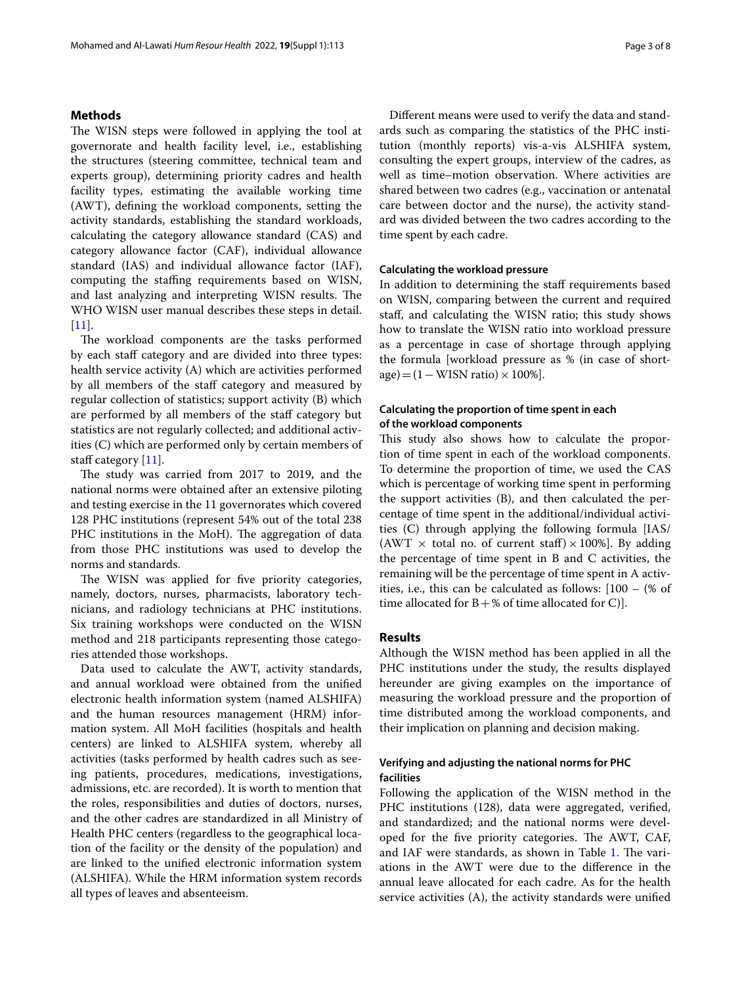## **Methods**

The WISN steps were followed in applying the tool at governorate and health facility level, i.e., establishing the structures (steering committee, technical team and experts group), determining priority cadres and health facility types, estimating the available working time (AWT), defning the workload components, setting the activity standards, establishing the standard workloads, calculating the category allowance standard (CAS) and category allowance factor (CAF), individual allowance standard (IAS) and individual allowance factor (IAF), computing the stafng requirements based on WISN, and last analyzing and interpreting WISN results. The WHO WISN user manual describes these steps in detail. [[11\]](#page-7-10).

The workload components are the tasks performed by each staff category and are divided into three types: health service activity (A) which are activities performed by all members of the staff category and measured by regular collection of statistics; support activity (B) which are performed by all members of the staff category but statistics are not regularly collected; and additional activities (C) which are performed only by certain members of staff category [[11\]](#page-7-10).

The study was carried from 2017 to 2019, and the national norms were obtained after an extensive piloting and testing exercise in the 11 governorates which covered 128 PHC institutions (represent 54% out of the total 238 PHC institutions in the MoH). The aggregation of data from those PHC institutions was used to develop the norms and standards.

The WISN was applied for five priority categories, namely, doctors, nurses, pharmacists, laboratory technicians, and radiology technicians at PHC institutions. Six training workshops were conducted on the WISN method and 218 participants representing those categories attended those workshops.

Data used to calculate the AWT, activity standards, and annual workload were obtained from the unifed electronic health information system (named ALSHIFA) and the human resources management (HRM) information system. All MoH facilities (hospitals and health centers) are linked to ALSHIFA system, whereby all activities (tasks performed by health cadres such as seeing patients, procedures, medications, investigations, admissions, etc. are recorded). It is worth to mention that the roles, responsibilities and duties of doctors, nurses, and the other cadres are standardized in all Ministry of Health PHC centers (regardless to the geographical location of the facility or the density of the population) and are linked to the unifed electronic information system (ALSHIFA). While the HRM information system records all types of leaves and absenteeism.

Diferent means were used to verify the data and standards such as comparing the statistics of the PHC institution (monthly reports) vis-a-vis ALSHIFA system, consulting the expert groups, interview of the cadres, as well as time–motion observation. Where activities are shared between two cadres (e.g., vaccination or antenatal care between doctor and the nurse), the activity standard was divided between the two cadres according to the time spent by each cadre.

## **Calculating the workload pressure**

In addition to determining the staff requirements based on WISN, comparing between the current and required staf, and calculating the WISN ratio; this study shows how to translate the WISN ratio into workload pressure as a percentage in case of shortage through applying the formula [workload pressure as % (in case of short $age) = (1 - WISN ratio) \times 100\%$ .

## **Calculating the proportion of time spent in each of the workload components**

This study also shows how to calculate the proportion of time spent in each of the workload components. To determine the proportion of time, we used the CAS which is percentage of working time spent in performing the support activities (B), and then calculated the percentage of time spent in the additional/individual activities (C) through applying the following formula [IAS/ (AWT  $\times$  total no. of current staff)  $\times$  100%]. By adding the percentage of time spent in B and C activities, the remaining will be the percentage of time spent in A activities, i.e., this can be calculated as follows: [100 – (% of time allocated for  $B + \%$  of time allocated for C).

## **Results**

Although the WISN method has been applied in all the PHC institutions under the study, the results displayed hereunder are giving examples on the importance of measuring the workload pressure and the proportion of time distributed among the workload components, and their implication on planning and decision making.

## **Verifying and adjusting the national norms for PHC facilities**

Following the application of the WISN method in the PHC institutions (128), data were aggregated, verifed, and standardized; and the national norms were developed for the five priority categories. The AWT, CAF, and IAF were standards, as shown in Table [1.](#page-3-0) The variations in the AWT were due to the diference in the annual leave allocated for each cadre. As for the health service activities (A), the activity standards were unifed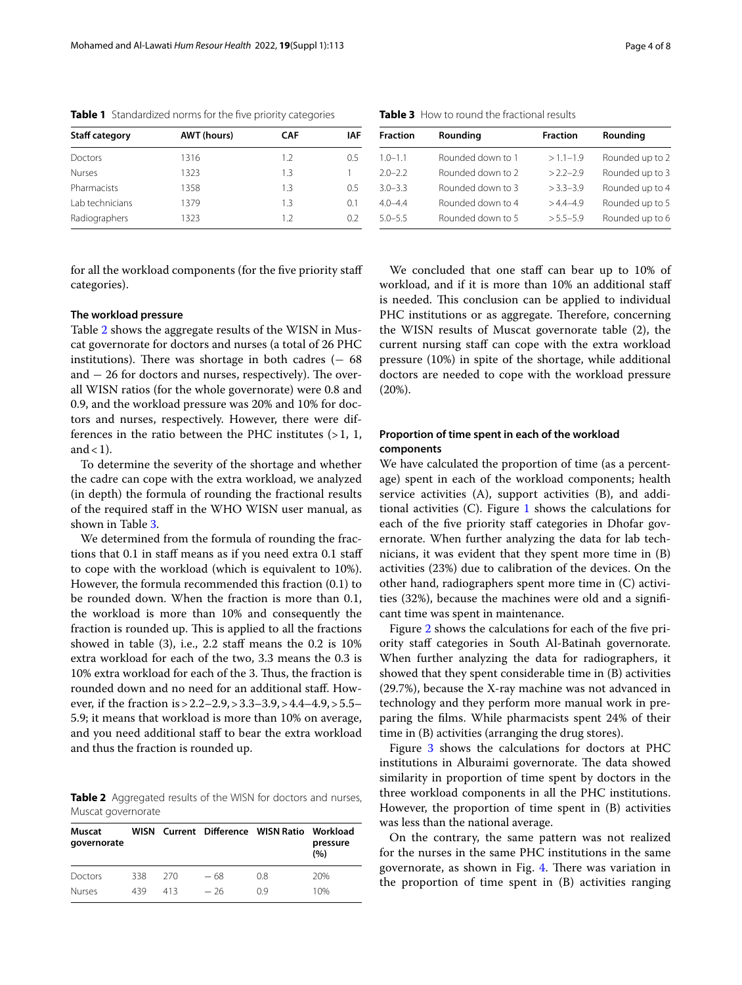| <b>Staff category</b> | <b>AWT</b> (hours) | <b>CAF</b> | IAF |
|-----------------------|--------------------|------------|-----|
| Doctors               | 1316               | 1.2        | 0.5 |
| <b>Nurses</b>         | 1323               | 1.3        |     |
| Pharmacists           | 1358               | 1.3        | 0.5 |
| Lab technicians       | 1379               | 1.3        | 0.1 |
| Radiographers         | 1323               | 1.2        | 02  |

<span id="page-3-0"></span>**Table 1** Standardized norms for the fve priority categories

for all the workload components (for the five priority staff categories).

## **The workload pressure**

Table [2](#page-3-1) shows the aggregate results of the WISN in Muscat governorate for doctors and nurses (a total of 26 PHC institutions). There was shortage in both cadres  $(-68)$ and  $-26$  for doctors and nurses, respectively). The overall WISN ratios (for the whole governorate) were 0.8 and 0.9, and the workload pressure was 20% and 10% for doctors and nurses, respectively. However, there were differences in the ratio between the PHC institutes  $(>1, 1, 1)$ and  $<$  1).

To determine the severity of the shortage and whether the cadre can cope with the extra workload, we analyzed (in depth) the formula of rounding the fractional results of the required staf in the WHO WISN user manual, as shown in Table [3.](#page-3-2)

We determined from the formula of rounding the fractions that 0.1 in staff means as if you need extra 0.1 staff to cope with the workload (which is equivalent to 10%). However, the formula recommended this fraction (0.1) to be rounded down. When the fraction is more than 0.1, the workload is more than 10% and consequently the fraction is rounded up. This is applied to all the fractions showed in table  $(3)$ , i.e., 2.2 staff means the 0.2 is 10% extra workload for each of the two, 3.3 means the 0.3 is 10% extra workload for each of the 3. Thus, the fraction is rounded down and no need for an additional staf. However, if the fraction is>2.2–2.9,>3.3–3.9,>4.4–4.9,>5.5– 5.9; it means that workload is more than 10% on average, and you need additional staff to bear the extra workload and thus the fraction is rounded up.

<span id="page-3-1"></span>**Table 2** Aggregated results of the WISN for doctors and nurses, Muscat governorate

| Muscat<br>governorate |     |     |       | WISN Current Difference WISN Ratio Workload | pressure<br>(%) |
|-----------------------|-----|-----|-------|---------------------------------------------|-----------------|
| Doctors               | 338 | 270 | - 68  | 0.8                                         | 20%             |
| Nurses                | 439 | 413 | $-26$ | 09                                          | 10%             |

| <b>Fraction</b> | Rounding          | <b>Fraction</b> | Rounding        |
|-----------------|-------------------|-----------------|-----------------|
| $1.0 - 1.1$     | Rounded down to 1 | $>1.1-1.9$      | Rounded up to 2 |
| $2.0 - 2.2$     | Rounded down to 2 | $>22-29$        | Rounded up to 3 |
| $3.0 - 3.3$     | Rounded down to 3 | $> 3.3 - 3.9$   | Rounded up to 4 |
| $4.0 - 4.4$     | Rounded down to 4 | $>44-49$        | Rounded up to 5 |
| $5.0 - 5.5$     | Rounded down to 5 | $> 5.5 - 5.9$   | Rounded up to 6 |
|                 |                   |                 |                 |

<span id="page-3-2"></span>**Table 3** How to round the fractional results

We concluded that one staff can bear up to 10% of workload, and if it is more than 10% an additional staf is needed. This conclusion can be applied to individual PHC institutions or as aggregate. Therefore, concerning the WISN results of Muscat governorate table (2), the current nursing staff can cope with the extra workload pressure (10%) in spite of the shortage, while additional doctors are needed to cope with the workload pressure (20%).

## **Proportion of time spent in each of the workload components**

We have calculated the proportion of time (as a percentage) spent in each of the workload components; health service activities (A), support activities (B), and additional activities  $(C)$ . Figure [1](#page-4-0) shows the calculations for each of the five priority staff categories in Dhofar governorate. When further analyzing the data for lab technicians, it was evident that they spent more time in (B) activities (23%) due to calibration of the devices. On the other hand, radiographers spent more time in (C) activities (32%), because the machines were old and a signifcant time was spent in maintenance.

Figure [2](#page-4-1) shows the calculations for each of the five priority staff categories in South Al-Batinah governorate. When further analyzing the data for radiographers, it showed that they spent considerable time in (B) activities (29.7%), because the X-ray machine was not advanced in technology and they perform more manual work in preparing the flms. While pharmacists spent 24% of their time in (B) activities (arranging the drug stores).

Figure [3](#page-5-0) shows the calculations for doctors at PHC institutions in Alburaimi governorate. The data showed similarity in proportion of time spent by doctors in the three workload components in all the PHC institutions. However, the proportion of time spent in (B) activities was less than the national average.

On the contrary, the same pattern was not realized for the nurses in the same PHC institutions in the same governorate, as shown in Fig. [4.](#page-5-1) There was variation in the proportion of time spent in (B) activities ranging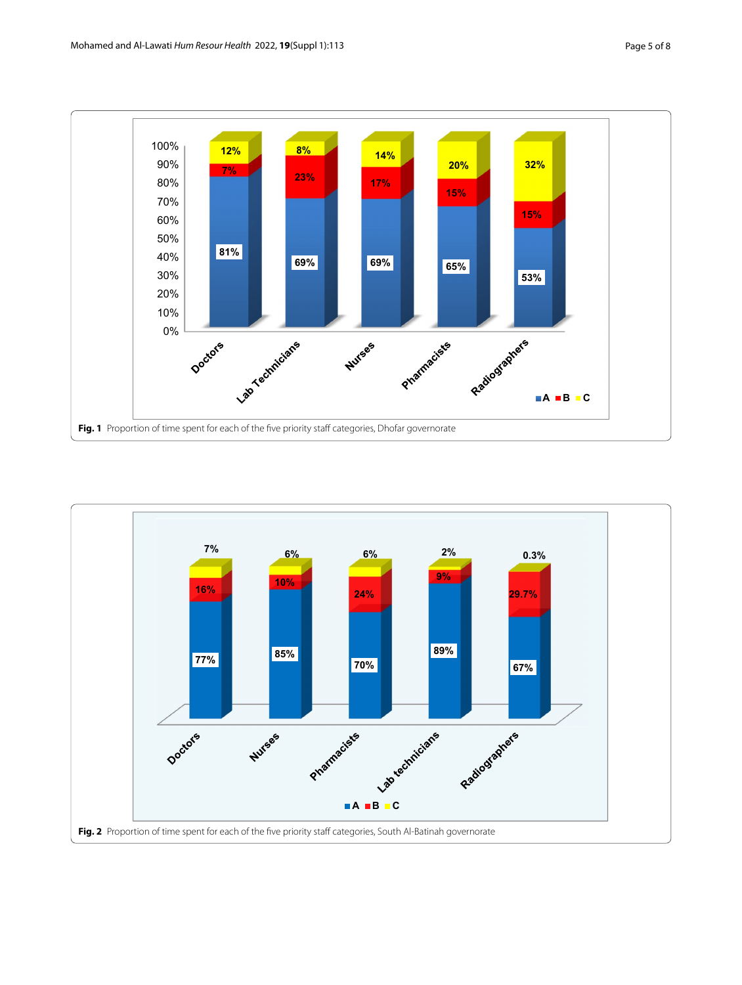

<span id="page-4-1"></span><span id="page-4-0"></span>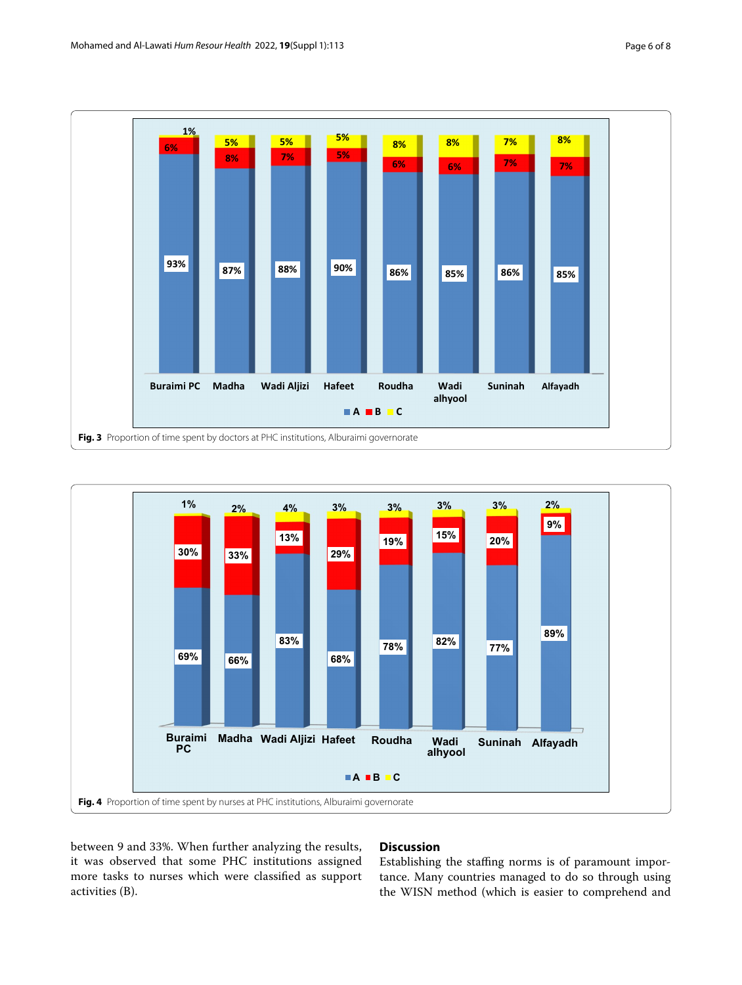

<span id="page-5-0"></span>

<span id="page-5-1"></span>between 9 and 33%. When further analyzing the results, it was observed that some PHC institutions assigned more tasks to nurses which were classifed as support activities (B).

## **Discussion**

Establishing the staffing norms is of paramount importance. Many countries managed to do so through using the WISN method (which is easier to comprehend and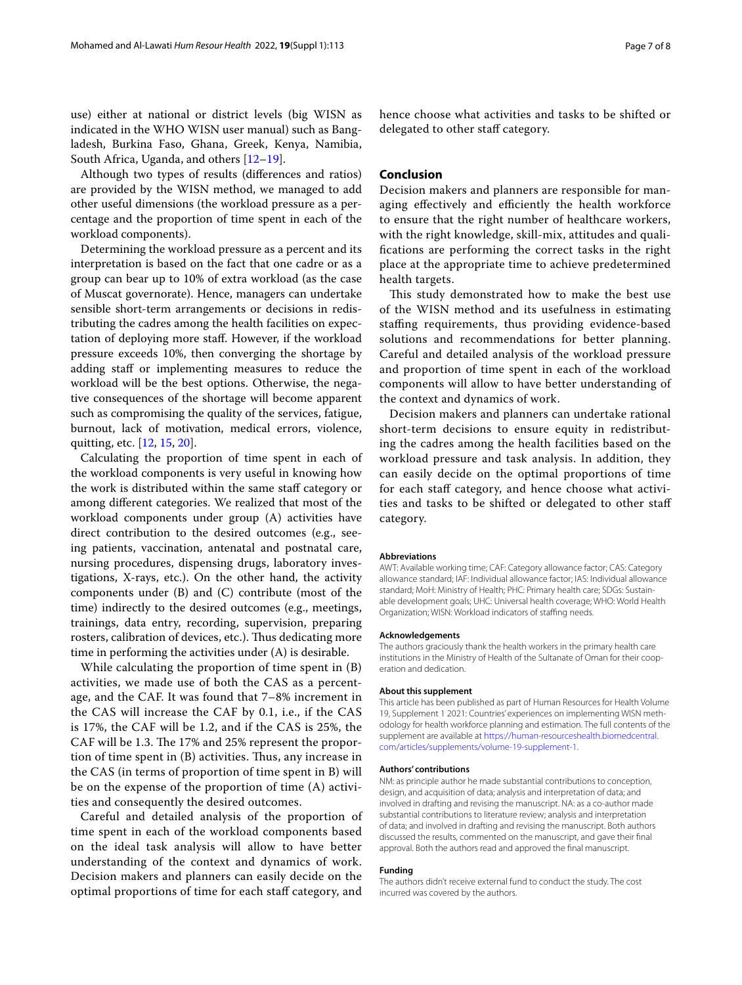use) either at national or district levels (big WISN as indicated in the WHO WISN user manual) such as Bangladesh, Burkina Faso, Ghana, Greek, Kenya, Namibia, South Africa, Uganda, and others [\[12](#page-7-11)[–19](#page-7-12)].

Although two types of results (diferences and ratios) are provided by the WISN method, we managed to add other useful dimensions (the workload pressure as a percentage and the proportion of time spent in each of the workload components).

Determining the workload pressure as a percent and its interpretation is based on the fact that one cadre or as a group can bear up to 10% of extra workload (as the case of Muscat governorate). Hence, managers can undertake sensible short-term arrangements or decisions in redistributing the cadres among the health facilities on expectation of deploying more staf. However, if the workload pressure exceeds 10%, then converging the shortage by adding staff or implementing measures to reduce the workload will be the best options. Otherwise, the negative consequences of the shortage will become apparent such as compromising the quality of the services, fatigue, burnout, lack of motivation, medical errors, violence, quitting, etc. [[12,](#page-7-11) [15](#page-7-13), [20\]](#page-7-14).

Calculating the proportion of time spent in each of the workload components is very useful in knowing how the work is distributed within the same staff category or among diferent categories. We realized that most of the workload components under group (A) activities have direct contribution to the desired outcomes (e.g., seeing patients, vaccination, antenatal and postnatal care, nursing procedures, dispensing drugs, laboratory investigations, X-rays, etc.). On the other hand, the activity components under (B) and (C) contribute (most of the time) indirectly to the desired outcomes (e.g., meetings, trainings, data entry, recording, supervision, preparing rosters, calibration of devices, etc.). Thus dedicating more time in performing the activities under (A) is desirable.

While calculating the proportion of time spent in (B) activities, we made use of both the CAS as a percentage, and the CAF. It was found that 7–8% increment in the CAS will increase the CAF by 0.1, i.e., if the CAS is 17%, the CAF will be 1.2, and if the CAS is 25%, the CAF will be 1.3. The 17% and 25% represent the proportion of time spent in  $(B)$  activities. Thus, any increase in the CAS (in terms of proportion of time spent in B) will be on the expense of the proportion of time (A) activities and consequently the desired outcomes.

Careful and detailed analysis of the proportion of time spent in each of the workload components based on the ideal task analysis will allow to have better understanding of the context and dynamics of work. Decision makers and planners can easily decide on the optimal proportions of time for each staff category, and

hence choose what activities and tasks to be shifted or delegated to other staff category.

## **Conclusion**

Decision makers and planners are responsible for managing effectively and efficiently the health workforce to ensure that the right number of healthcare workers, with the right knowledge, skill-mix, attitudes and qualifcations are performing the correct tasks in the right place at the appropriate time to achieve predetermined health targets.

This study demonstrated how to make the best use of the WISN method and its usefulness in estimating stafng requirements, thus providing evidence-based solutions and recommendations for better planning. Careful and detailed analysis of the workload pressure and proportion of time spent in each of the workload components will allow to have better understanding of the context and dynamics of work.

Decision makers and planners can undertake rational short-term decisions to ensure equity in redistributing the cadres among the health facilities based on the workload pressure and task analysis. In addition, they can easily decide on the optimal proportions of time for each staff category, and hence choose what activities and tasks to be shifted or delegated to other staf category.

#### **Abbreviations**

AWT: Available working time; CAF: Category allowance factor; CAS: Category allowance standard; IAF: Individual allowance factor; IAS: Individual allowance standard; MoH: Ministry of Health; PHC: Primary health care; SDGs: Sustainable development goals; UHC: Universal health coverage; WHO: World Health Organization; WISN: Workload indicators of stafng needs.

#### **Acknowledgements**

The authors graciously thank the health workers in the primary health care institutions in the Ministry of Health of the Sultanate of Oman for their cooperation and dedication.

#### **About this supplement**

This article has been published as part of Human Resources for Health Volume 19, Supplement 1 2021: Countries' experiences on implementing WISN methodology for health workforce planning and estimation. The full contents of the supplement are available at [https://human-resourceshealth.biomedcentral.](https://human-resourceshealth.biomedcentral.com/articles/supplements/volume-19-supplement-1) [com/articles/supplements/volume-19-supplement-1](https://human-resourceshealth.biomedcentral.com/articles/supplements/volume-19-supplement-1).

#### **Authors' contributions**

NM: as principle author he made substantial contributions to conception, design, and acquisition of data; analysis and interpretation of data; and involved in drafting and revising the manuscript. NA: as a co-author made substantial contributions to literature review; analysis and interpretation of data; and involved in drafting and revising the manuscript. Both authors discussed the results, commented on the manuscript, and gave their fnal approval. Both the authors read and approved the fnal manuscript.

#### **Funding**

The authors didn't receive external fund to conduct the study. The cost incurred was covered by the authors.